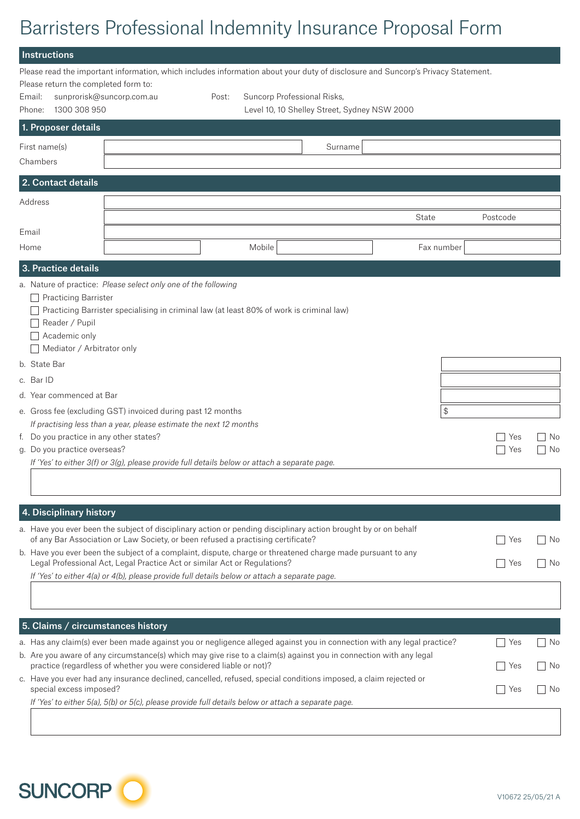# Barristers Professional Indemnity Insurance Proposal Form

| <b>Instructions</b>                                                                                                                                                                                                                                                                                                                                                                                                                                                                                                                                                                                                           |       |                             |                                              |       |            |            |          |
|-------------------------------------------------------------------------------------------------------------------------------------------------------------------------------------------------------------------------------------------------------------------------------------------------------------------------------------------------------------------------------------------------------------------------------------------------------------------------------------------------------------------------------------------------------------------------------------------------------------------------------|-------|-----------------------------|----------------------------------------------|-------|------------|------------|----------|
| Please read the important information, which includes information about your duty of disclosure and Suncorp's Privacy Statement.<br>Please return the completed form to:<br>sunprorisk@suncorp.com.au<br>Email:<br>1300 308 950<br>Phone:                                                                                                                                                                                                                                                                                                                                                                                     | Post: | Suncorp Professional Risks, | Level 10, 10 Shelley Street, Sydney NSW 2000 |       |            |            |          |
| 1. Proposer details                                                                                                                                                                                                                                                                                                                                                                                                                                                                                                                                                                                                           |       |                             |                                              |       |            |            |          |
| First name(s)<br>Chambers                                                                                                                                                                                                                                                                                                                                                                                                                                                                                                                                                                                                     |       |                             | Surname                                      |       |            |            |          |
| 2. Contact details                                                                                                                                                                                                                                                                                                                                                                                                                                                                                                                                                                                                            |       |                             |                                              |       |            |            |          |
| Address                                                                                                                                                                                                                                                                                                                                                                                                                                                                                                                                                                                                                       |       |                             |                                              | State |            | Postcode   |          |
| Email<br>Home                                                                                                                                                                                                                                                                                                                                                                                                                                                                                                                                                                                                                 |       | Mobile                      |                                              |       | Fax number |            |          |
| 3. Practice details                                                                                                                                                                                                                                                                                                                                                                                                                                                                                                                                                                                                           |       |                             |                                              |       |            |            |          |
| a. Nature of practice: Please select only one of the following<br>Practicing Barrister<br>Practicing Barrister specialising in criminal law (at least 80% of work is criminal law)<br>Reader / Pupil<br>Academic only<br>Mediator / Arbitrator only<br>b. State Bar<br>c. Bar ID<br>d. Year commenced at Bar<br>e. Gross fee (excluding GST) invoiced during past 12 months<br>If practising less than a year, please estimate the next 12 months<br>f. Do you practice in any other states?<br>g. Do you practice overseas?<br>If 'Yes' to either 3(f) or 3(g), please provide full details below or attach a separate page. |       |                             |                                              |       | \$         | Yes<br>Yes | No<br>No |
| 4. Disciplinary history<br>a. Have you ever been the subject of disciplinary action or pending disciplinary action brought by or on behalf<br>of any Bar Association or Law Society, or been refused a practising certificate?<br>b. Have you ever been the subject of a complaint, dispute, charge or threatened charge made pursuant to any<br>Legal Professional Act, Legal Practice Act or similar Act or Regulations?<br>If 'Yes' to either 4(a) or 4(b), please provide full details below or attach a separate page.                                                                                                   |       |                             |                                              |       |            | Yes<br>Yes | No<br>No |
| 5. Claims / circumstances history<br>a. Has any claim(s) ever been made against you or negligence alleged against you in connection with any legal practice?                                                                                                                                                                                                                                                                                                                                                                                                                                                                  |       |                             |                                              |       |            | Yes        | No       |
| b. Are you aware of any circumstance(s) which may give rise to a claim(s) against you in connection with any legal<br>practice (regardless of whether you were considered liable or not)?<br>c. Have you ever had any insurance declined, cancelled, refused, special conditions imposed, a claim rejected or<br>special excess imposed?                                                                                                                                                                                                                                                                                      |       |                             |                                              |       |            | Yes<br>Yes | No<br>No |
| If 'Yes' to either 5(a), 5(b) or 5(c), please provide full details below or attach a separate page.                                                                                                                                                                                                                                                                                                                                                                                                                                                                                                                           |       |                             |                                              |       |            |            |          |

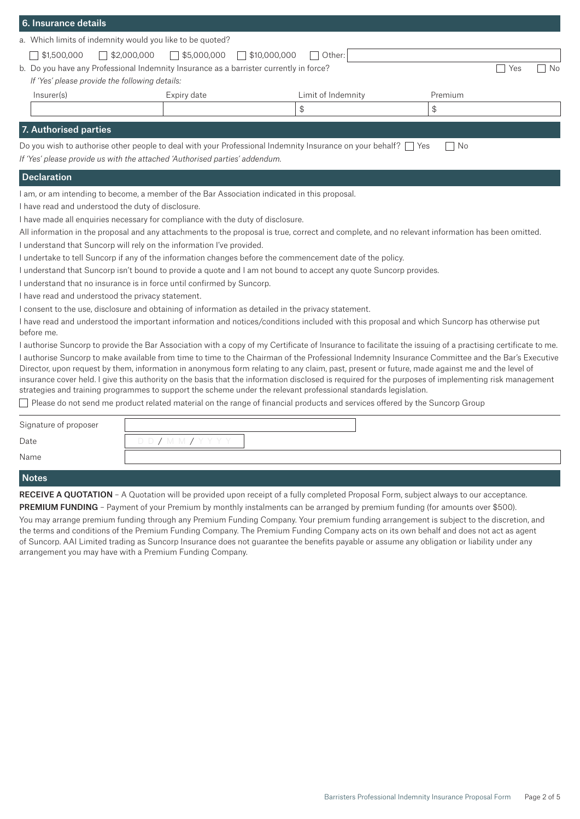| 6. Insurance details                                                                                                                                                                                                                           |                                                                                                           |                                                                                                                     |           |  |
|------------------------------------------------------------------------------------------------------------------------------------------------------------------------------------------------------------------------------------------------|-----------------------------------------------------------------------------------------------------------|---------------------------------------------------------------------------------------------------------------------|-----------|--|
| a. Which limits of indemnity would you like to be quoted?                                                                                                                                                                                      |                                                                                                           |                                                                                                                     |           |  |
| $\sqrt{$1,500,000}$<br>$\Box$ \$2,000,000                                                                                                                                                                                                      | $\Box$ \$5,000,000                                                                                        | $\sqrt{310,000,000}$<br>Other:                                                                                      |           |  |
|                                                                                                                                                                                                                                                | b. Do you have any Professional Indemnity Insurance as a barrister currently in force?                    |                                                                                                                     | Yes<br>No |  |
|                                                                                                                                                                                                                                                | If 'Yes' please provide the following details:                                                            |                                                                                                                     |           |  |
| Insurer(s)                                                                                                                                                                                                                                     | Expiry date                                                                                               | Limit of Indemnity                                                                                                  | Premium   |  |
|                                                                                                                                                                                                                                                |                                                                                                           | $\, \, \raisebox{12pt}{$\scriptstyle \circ$}$                                                                       | \$        |  |
| 7. Authorised parties                                                                                                                                                                                                                          |                                                                                                           |                                                                                                                     |           |  |
|                                                                                                                                                                                                                                                |                                                                                                           | Do you wish to authorise other people to deal with your Professional Indemnity Insurance on your behalf? $\Box$ Yes | - No      |  |
|                                                                                                                                                                                                                                                | If 'Yes' please provide us with the attached 'Authorised parties' addendum.                               |                                                                                                                     |           |  |
| <b>Declaration</b>                                                                                                                                                                                                                             |                                                                                                           |                                                                                                                     |           |  |
|                                                                                                                                                                                                                                                | I am, or am intending to become, a member of the Bar Association indicated in this proposal.              |                                                                                                                     |           |  |
| I have read and understood the duty of disclosure.                                                                                                                                                                                             |                                                                                                           |                                                                                                                     |           |  |
|                                                                                                                                                                                                                                                | I have made all enquiries necessary for compliance with the duty of disclosure.                           |                                                                                                                     |           |  |
|                                                                                                                                                                                                                                                |                                                                                                           |                                                                                                                     |           |  |
| All information in the proposal and any attachments to the proposal is true, correct and complete, and no relevant information has been omitted.<br>I understand that Suncorp will rely on the information I've provided.                      |                                                                                                           |                                                                                                                     |           |  |
|                                                                                                                                                                                                                                                | I undertake to tell Suncorp if any of the information changes before the commencement date of the policy. |                                                                                                                     |           |  |
|                                                                                                                                                                                                                                                |                                                                                                           | I understand that Suncorp isn't bound to provide a quote and I am not bound to accept any quote Suncorp provides.   |           |  |
| I understand that no insurance is in force until confirmed by Suncorp.                                                                                                                                                                         |                                                                                                           |                                                                                                                     |           |  |
| I have read and understood the privacy statement.                                                                                                                                                                                              |                                                                                                           |                                                                                                                     |           |  |
| I consent to the use, disclosure and obtaining of information as detailed in the privacy statement.                                                                                                                                            |                                                                                                           |                                                                                                                     |           |  |
| I have read and understood the important information and notices/conditions included with this proposal and which Suncorp has otherwise put<br>before me.                                                                                      |                                                                                                           |                                                                                                                     |           |  |
| I authorise Suncorp to provide the Bar Association with a copy of my Certificate of Insurance to facilitate the issuing of a practising certificate to me.                                                                                     |                                                                                                           |                                                                                                                     |           |  |
| I authorise Suncorp to make available from time to time to the Chairman of the Professional Indemnity Insurance Committee and the Bar's Executive                                                                                              |                                                                                                           |                                                                                                                     |           |  |
| Director, upon request by them, information in anonymous form relating to any claim, past, present or future, made against me and the level of                                                                                                 |                                                                                                           |                                                                                                                     |           |  |
| insurance cover held. I give this authority on the basis that the information disclosed is required for the purposes of implementing risk management                                                                                           |                                                                                                           |                                                                                                                     |           |  |
| strategies and training programmes to support the scheme under the relevant professional standards legislation.<br>Please do not send me product related material on the range of financial products and services offered by the Suncorp Group |                                                                                                           |                                                                                                                     |           |  |
|                                                                                                                                                                                                                                                |                                                                                                           |                                                                                                                     |           |  |
| Signature of proposer                                                                                                                                                                                                                          |                                                                                                           |                                                                                                                     |           |  |

| Signature of proposer |  |
|-----------------------|--|
| Date                  |  |
| Name                  |  |
|                       |  |

# **Notes**

RECEIVE A QUOTATION - A Quotation will be provided upon receipt of a fully completed Proposal Form, subject always to our acceptance.

PREMIUM FUNDING - Payment of your Premium by monthly instalments can be arranged by premium funding (for amounts over \$500). You may arrange premium funding through any Premium Funding Company. Your premium funding arrangement is subject to the discretion, and the terms and conditions of the Premium Funding Company. The Premium Funding Company acts on its own behalf and does not act as agent of Suncorp. AAI Limited trading as Suncorp Insurance does not guarantee the benefits payable or assume any obligation or liability under any arrangement you may have with a Premium Funding Company.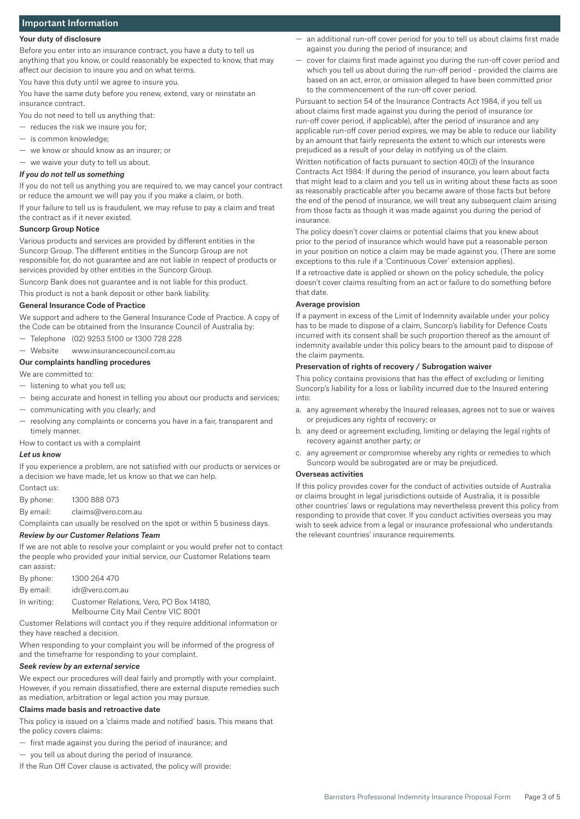# Important Information

# Your duty of disclosure

Before you enter into an insurance contract, you have a duty to tell us anything that you know, or could reasonably be expected to know, that may affect our decision to insure you and on what terms.

You have this duty until we agree to insure you.

You have the same duty before you renew, extend, vary or reinstate an insurance contract.

You do not need to tell us anything that:

- reduces the risk we insure you for;
- is common knowledge;
- we know or should know as an insurer; or
- we waive your duty to tell us about.

## *If you do not tell us something*

If you do not tell us anything you are required to, we may cancel your contract or reduce the amount we will pay you if you make a claim, or both. If your failure to tell us is fraudulent, we may refuse to pay a claim and treat

the contract as if it never existed.

# Suncorp Group Notice

Various products and services are provided by different entities in the Suncorp Group. The different entities in the Suncorp Group are not responsible for, do not guarantee and are not liable in respect of products or services provided by other entities in the Suncorp Group.

Suncorp Bank does not guarantee and is not liable for this product.

This product is not a bank deposit or other bank liability.

#### General Insurance Code of Practice

We support and adhere to the General Insurance Code of Practice. A copy of the Code can be obtained from the Insurance Council of Australia by:

- Telephone (02) 9253 5100 or 1300 728 228
- Website www.insurancecouncil.com.au

# Our complaints handling procedures

We are committed to:

- listening to what you tell us;
- being accurate and honest in telling you about our products and services;
- communicating with you clearly; and
- resolving any complaints or concerns you have in a fair, transparent and timely manner.

### How to contact us with a complaint

#### *Let us know*

If you experience a problem, are not satisfied with our products or services or a decision we have made, let us know so that we can help.

Contact us:

By phone: 1300 888 073

By email: claims@vero.com.au

Complaints can usually be resolved on the spot or within 5 business days.

#### *Review by our Customer Relations Team*

If we are not able to resolve your complaint or you would prefer not to contact the people who provided your initial service, our Customer Relations team can assist:

| By phone:   | 1300 264 470                            |
|-------------|-----------------------------------------|
| Bv email:   | idr@vero.com.au                         |
| In writina: | Customer Relations, Vero, PO Box 14180, |
|             | Melbourne City Mail Centre VIC 8001     |

Customer Relations will contact you if they require additional information or they have reached a decision.

When responding to your complaint you will be informed of the progress of and the timeframe for responding to your complaint.

## *Seek review by an external service*

We expect our procedures will deal fairly and promptly with your complaint. However, if you remain dissatisfied, there are external dispute remedies such as mediation, arbitration or legal action you may pursue.

#### Claims made basis and retroactive date

This policy is issued on a 'claims made and notified' basis. This means that the policy covers claims:

- first made against you during the period of insurance; and
- you tell us about during the period of insurance.
- If the Run Off Cover clause is activated, the policy will provide:
- an additional run-off cover period for you to tell us about claims first made against you during the period of insurance; and
- cover for claims first made against you during the run-off cover period and which you tell us about during the run-off period - provided the claims are based on an act, error, or omission alleged to have been committed prior to the commencement of the run-off cover period.

Pursuant to section 54 of the Insurance Contracts Act 1984, if you tell us about claims first made against you during the period of insurance (or run-off cover period, if applicable), after the period of insurance and any applicable run-off cover period expires, we may be able to reduce our liability by an amount that fairly represents the extent to which our interests were prejudiced as a result of your delay in notifying us of the claim.

Written notification of facts pursuant to section 40(3) of the Insurance Contracts Act 1984: If during the period of insurance, you learn about facts that might lead to a claim and you tell us in writing about these facts as soon as reasonably practicable after you became aware of those facts but before the end of the period of insurance, we will treat any subsequent claim arising from those facts as though it was made against you during the period of insurance.

The policy doesn't cover claims or potential claims that you knew about prior to the period of insurance which would have put a reasonable person in your position on notice a claim may be made against you. (There are some exceptions to this rule if a 'Continuous Cover' extension applies).

If a retroactive date is applied or shown on the policy schedule, the policy doesn't cover claims resulting from an act or failure to do something before that date.

#### Average provision

If a payment in excess of the Limit of Indemnity available under your policy has to be made to dispose of a claim, Suncorp's liability for Defence Costs incurred with its consent shall be such proportion thereof as the amount of indemnity available under this policy bears to the amount paid to dispose of the claim payments.

#### Preservation of rights of recovery / Subrogation waiver

This policy contains provisions that has the effect of excluding or limiting Suncorp's liability for a loss or liability incurred due to the Insured entering into:

- a. any agreement whereby the Insured releases, agrees not to sue or waives or prejudices any rights of recovery; or
- b. any deed or agreement excluding, limiting or delaying the legal rights of recovery against another party; or
- c. any agreement or compromise whereby any rights or remedies to which Suncorp would be subrogated are or may be prejudiced.

#### Overseas activities

If this policy provides cover for the conduct of activities outside of Australia or claims brought in legal jurisdictions outside of Australia, it is possible other countries' laws or regulations may nevertheless prevent this policy from responding to provide that cover. If you conduct activities overseas you may wish to seek advice from a legal or insurance professional who understands the relevant countries' insurance requirements.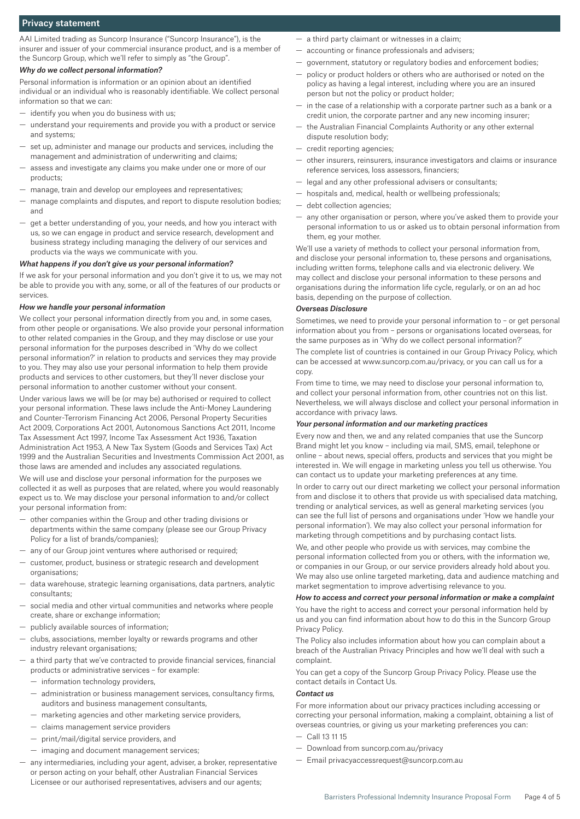# Privacy statement

AAI Limited trading as Suncorp Insurance ("Suncorp Insurance"), is the insurer and issuer of your commercial insurance product, and is a member of the Suncorp Group, which we'll refer to simply as "the Group".

#### *Why do we collect personal information?*

Personal information is information or an opinion about an identified individual or an individual who is reasonably identifiable. We collect personal information so that we can:

- identify you when you do business with us;
- understand your requirements and provide you with a product or service and systems;
- set up, administer and manage our products and services, including the management and administration of underwriting and claims;
- assess and investigate any claims you make under one or more of our products;
- manage, train and develop our employees and representatives;
- manage complaints and disputes, and report to dispute resolution bodies; and
- get a better understanding of you, your needs, and how you interact with us, so we can engage in product and service research, development and business strategy including managing the delivery of our services and products via the ways we communicate with you.

#### *What happens if you don't give us your personal information?*

If we ask for your personal information and you don't give it to us, we may not be able to provide you with any, some, or all of the features of our products or services.

#### *How we handle your personal information*

We collect your personal information directly from you and, in some cases, from other people or organisations. We also provide your personal information to other related companies in the Group, and they may disclose or use your personal information for the purposes described in 'Why do we collect personal information?' in relation to products and services they may provide to you. They may also use your personal information to help them provide products and services to other customers, but they'll never disclose your personal information to another customer without your consent.

Under various laws we will be (or may be) authorised or required to collect your personal information. These laws include the Anti-Money Laundering and Counter-Terrorism Financing Act 2006, Personal Property Securities Act 2009, Corporations Act 2001, Autonomous Sanctions Act 2011, Income Tax Assessment Act 1997, Income Tax Assessment Act 1936, Taxation Administration Act 1953, A New Tax System (Goods and Services Tax) Act 1999 and the Australian Securities and Investments Commission Act 2001, as those laws are amended and includes any associated regulations.

We will use and disclose your personal information for the purposes we collected it as well as purposes that are related, where you would reasonably expect us to. We may disclose your personal information to and/or collect your personal information from:

- other companies within the Group and other trading divisions or departments within the same company (please see our Group Privacy Policy for a list of brands/companies);
- any of our Group joint ventures where authorised or required;
- customer, product, business or strategic research and development organisations;
- data warehouse, strategic learning organisations, data partners, analytic consultants;
- social media and other virtual communities and networks where people create, share or exchange information;
- publicly available sources of information;
- clubs, associations, member loyalty or rewards programs and other industry relevant organisations;
- a third party that we've contracted to provide financial services, financial products or administrative services – for example:
	- information technology providers,
	- administration or business management services, consultancy firms, auditors and business management consultants,
	- marketing agencies and other marketing service providers,
	- claims management service providers
	- print/mail/digital service providers, and
	- imaging and document management services;
- any intermediaries, including your agent, adviser, a broker, representative or person acting on your behalf, other Australian Financial Services Licensee or our authorised representatives, advisers and our agents;
- a third party claimant or witnesses in a claim;
- accounting or finance professionals and advisers;
- government, statutory or regulatory bodies and enforcement bodies;
- policy or product holders or others who are authorised or noted on the policy as having a legal interest, including where you are an insured person but not the policy or product holder;
- in the case of a relationship with a corporate partner such as a bank or a credit union, the corporate partner and any new incoming insurer;
- the Australian Financial Complaints Authority or any other external dispute resolution body;
- credit reporting agencies;
- other insurers, reinsurers, insurance investigators and claims or insurance reference services, loss assessors, financiers;
- legal and any other professional advisers or consultants;
- hospitals and, medical, health or wellbeing professionals;
- debt collection agencies;
- any other organisation or person, where you've asked them to provide your personal information to us or asked us to obtain personal information from them, eg your mother.

We'll use a variety of methods to collect your personal information from, and disclose your personal information to, these persons and organisations, including written forms, telephone calls and via electronic delivery. We may collect and disclose your personal information to these persons and organisations during the information life cycle, regularly, or on an ad hoc basis, depending on the purpose of collection.

#### *Overseas Disclosure*

Sometimes, we need to provide your personal information to – or get personal information about you from – persons or organisations located overseas, for the same purposes as in 'Why do we collect personal information?'

The complete list of countries is contained in our Group Privacy Policy, which can be accessed at www.suncorp.com.au/privacy, or you can call us for a copy.

From time to time, we may need to disclose your personal information to, and collect your personal information from, other countries not on this list. Nevertheless, we will always disclose and collect your personal information in accordance with privacy laws.

# *Your personal information and our marketing practices*

Every now and then, we and any related companies that use the Suncorp Brand might let you know – including via mail, SMS, email, telephone or online – about news, special offers, products and services that you might be interested in. We will engage in marketing unless you tell us otherwise. You can contact us to update your marketing preferences at any time.

In order to carry out our direct marketing we collect your personal information from and disclose it to others that provide us with specialised data matching, trending or analytical services, as well as general marketing services (you can see the full list of persons and organisations under 'How we handle your personal information'). We may also collect your personal information for marketing through competitions and by purchasing contact lists.

We, and other people who provide us with services, may combine the personal information collected from you or others, with the information we, or companies in our Group, or our service providers already hold about you. We may also use online targeted marketing, data and audience matching and market segmentation to improve advertising relevance to you.

## *How to access and correct your personal information or make a complaint*

You have the right to access and correct your personal information held by us and you can find information about how to do this in the Suncorp Group Privacy Policy.

The Policy also includes information about how you can complain about a breach of the Australian Privacy Principles and how we'll deal with such a complaint.

You can get a copy of the Suncorp Group Privacy Policy. Please use the contact details in Contact Us.

#### *Contact us*

For more information about our privacy practices including accessing or correcting your personal information, making a complaint, obtaining a list of overseas countries, or giving us your marketing preferences you can:

- $-$  Call 13 11 15
- Download from suncorp.com.au/privacy
- Email privacyaccessrequest@suncorp.com.au